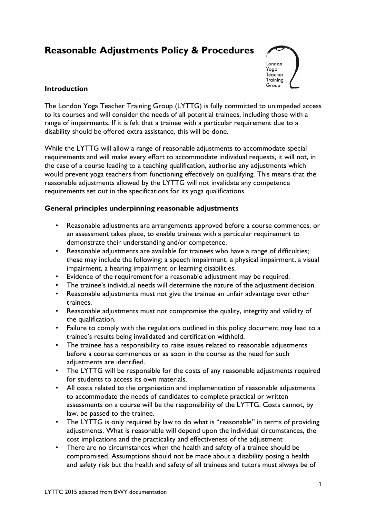# **Reasonable Adjustments Policy & Procedures**



# **Introduction**

The London Yoga Teacher Training Group (LYTTG) is fully committed to unimpeded access to its courses and will consider the needs of all potential trainees, including those with a range of impairments. If it is felt that a trainee with a particular requirement due to a disability should be offered extra assistance, this will be done.

While the LYTTG will allow a range of reasonable adjustments to accommodate special requirements and will make every effort to accommodate individual requests, it will not, in the case of a course leading to a teaching qualification, authorise any adjustments which would prevent yoga teachers from functioning effectively on qualifying. This means that the reasonable adjustments allowed by the LYTTG will not invalidate any competence requirements set out in the specifications for its yoga qualifications.

## **General principles underpinning reasonable adjustments**

- Reasonable adjustments are arrangements approved before a course commences, or an assessment takes place, to enable trainees with a particular requirement to demonstrate their understanding and/or competence.
- Reasonable adjustments are available for trainees who have a range of difficulties; these may include the following: a speech impairment, a physical impairment, a visual impairment, a hearing impairment or learning disabilities.
- Evidence of the requirement for a reasonable adjustment may be required.
- The trainee's individual needs will determine the nature of the adjustment decision.
- Reasonable adjustments must not give the trainee an unfair advantage over other trainees.
- Reasonable adjustments must not compromise the quality, integrity and validity of the qualification.
- Failure to comply with the regulations outlined in this policy document may lead to a trainee's results being invalidated and certification withheld.
- The trainee has a responsibility to raise issues related to reasonable adjustments before a course commences or as soon in the course as the need for such adjustments are identified.
- The LYTTG will be responsible for the costs of any reasonable adjustments required for students to access its own materials.
- All costs related to the organisation and implementation of reasonable adjustments to accommodate the needs of candidates to complete practical or written assessments on a course will be the responsibility of the LYTTG. Costs cannot, by law, be passed to the trainee.
- The LYTTG is only required by law to do what is "reasonable" in terms of providing adjustments. What is reasonable will depend upon the individual circumstances, the cost implications and the practicality and effectiveness of the adjustment
- There are no circumstances when the health and safety of a trainee should be compromised. Assumptions should not be made about a disability posing a health and safety risk but the health and safety of all trainees and tutors must always be of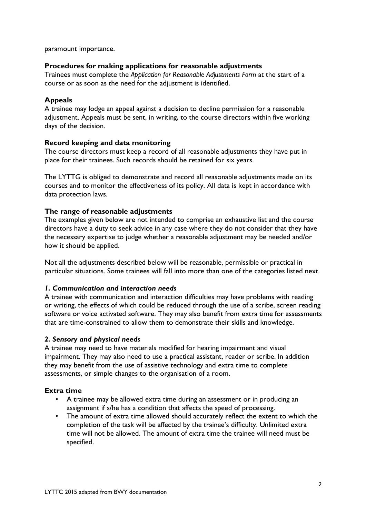paramount importance.

#### **Procedures for making applications for reasonable adjustments**

Trainees must complete the *Application for Reasonable Adjustments Form* at the start of a course or as soon as the need for the adjustment is identified.

#### **Appeals**

A trainee may lodge an appeal against a decision to decline permission for a reasonable adjustment. Appeals must be sent, in writing, to the course directors within five working days of the decision.

#### **Record keeping and data monitoring**

The course directors must keep a record of all reasonable adjustments they have put in place for their trainees. Such records should be retained for six years.

The LYTTG is obliged to demonstrate and record all reasonable adjustments made on its courses and to monitor the effectiveness of its policy. All data is kept in accordance with data protection laws.

#### **The range of reasonable adjustments**

The examples given below are not intended to comprise an exhaustive list and the course directors have a duty to seek advice in any case where they do not consider that they have the necessary expertise to judge whether a reasonable adjustment may be needed and/or how it should be applied.

Not all the adjustments described below will be reasonable, permissible or practical in particular situations. Some trainees will fall into more than one of the categories listed next.

#### *1. Communication and interaction needs*

A trainee with communication and interaction difficulties may have problems with reading or writing, the effects of which could be reduced through the use of a scribe, screen reading software or voice activated software. They may also benefit from extra time for assessments that are time-constrained to allow them to demonstrate their skills and knowledge.

#### *2. Sensory and physical needs*

A trainee may need to have materials modified for hearing impairment and visual impairment. They may also need to use a practical assistant, reader or scribe. In addition they may benefit from the use of assistive technology and extra time to complete assessments, or simple changes to the organisation of a room.

#### **Extra time**

- A trainee may be allowed extra time during an assessment or in producing an assignment if s/he has a condition that affects the speed of processing.
- The amount of extra time allowed should accurately reflect the extent to which the completion of the task will be affected by the trainee's difficulty. Unlimited extra time will not be allowed. The amount of extra time the trainee will need must be specified.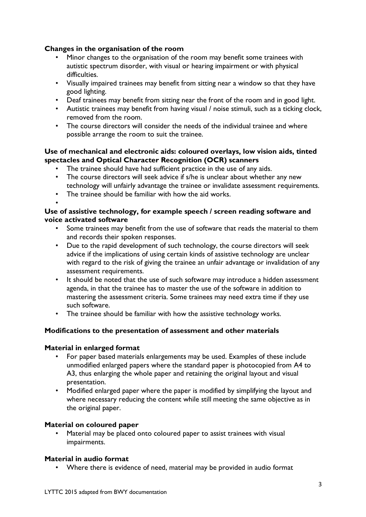# **Changes in the organisation of the room**

- Minor changes to the organisation of the room may benefit some trainees with autistic spectrum disorder, with visual or hearing impairment or with physical difficulties.
- Visually impaired trainees may benefit from sitting near a window so that they have good lighting.
- Deaf trainees may benefit from sitting near the front of the room and in good light.
- Autistic trainees may benefit from having visual / noise stimuli, such as a ticking clock, removed from the room.
- The course directors will consider the needs of the individual trainee and where possible arrange the room to suit the trainee.

## **Use of mechanical and electronic aids: coloured overlays, low vision aids, tinted spectacles and Optical Character Recognition (OCR) scanners**

- The trainee should have had sufficient practice in the use of any aids.
- The course directors will seek advice if s/he is unclear about whether any new technology will unfairly advantage the trainee or invalidate assessment requirements.
- The trainee should be familiar with how the aid works.

#### • **Use of assistive technology, for example speech / screen reading software and voice activated software**

- Some trainees may benefit from the use of software that reads the material to them and records their spoken responses.
- Due to the rapid development of such technology, the course directors will seek advice if the implications of using certain kinds of assistive technology are unclear with regard to the risk of giving the trainee an unfair advantage or invalidation of any assessment requirements.
- It should be noted that the use of such software may introduce a hidden assessment agenda, in that the trainee has to master the use of the software in addition to mastering the assessment criteria. Some trainees may need extra time if they use such software.
- The trainee should be familiar with how the assistive technology works.

## **Modifications to the presentation of assessment and other materials**

#### **Material in enlarged format**

- For paper based materials enlargements may be used. Examples of these include unmodified enlarged papers where the standard paper is photocopied from A4 to A3, thus enlarging the whole paper and retaining the original layout and visual presentation.
- Modified enlarged paper where the paper is modified by simplifying the layout and where necessary reducing the content while still meeting the same objective as in the original paper.

## **Material on coloured paper**

Material may be placed onto coloured paper to assist trainees with visual impairments.

## **Material in audio format**

• Where there is evidence of need, material may be provided in audio format